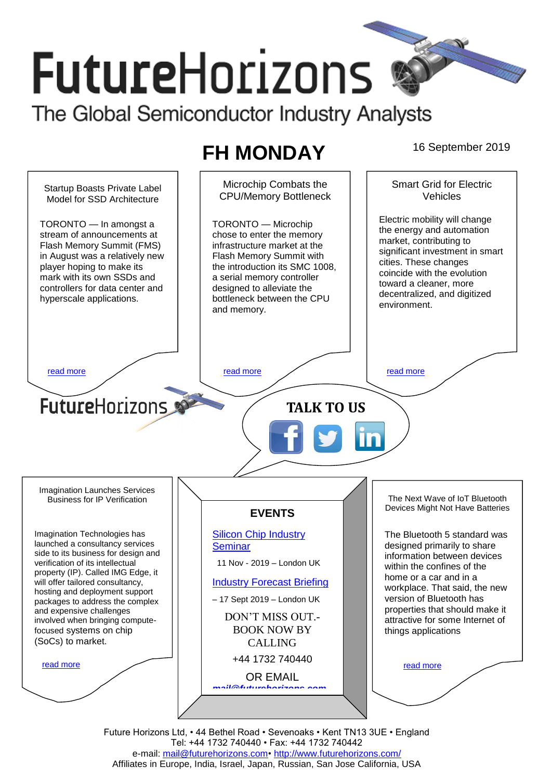# **FutureHorizons** The Global Semiconductor Industry Analysts

# **FH MONDAY** 16 September 2019



Future Horizons Ltd, • 44 Bethel Road • Sevenoaks • Kent TN13 3UE • England Tel: +44 1732 740440 • Fax: +44 1732 740442 e-mail: [mail@futurehorizons.com•](../FH%20Monday%20-%202017/mail@futurehorizons.com)<http://www.futurehorizons.com/> Affiliates in Europe, India, Israel, Japan, Russian, San Jose California, USA